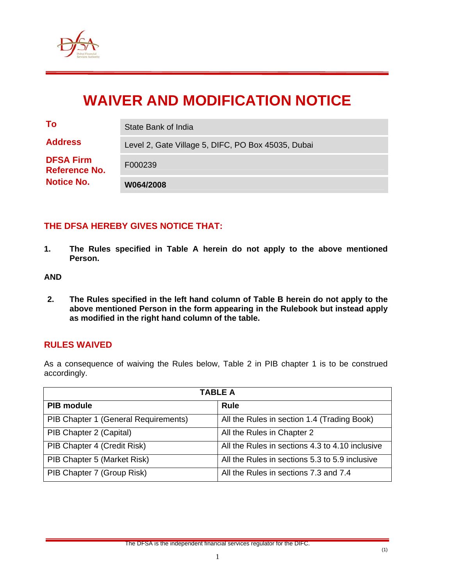

# **WAIVER AND MODIFICATION NOTICE**

| <b>Reference No.</b><br><b>Notice No.</b> | W064/2008                                          |
|-------------------------------------------|----------------------------------------------------|
| <b>DFSA Firm</b>                          | F000239                                            |
| <b>Address</b>                            | Level 2, Gate Village 5, DIFC, PO Box 45035, Dubai |
| To                                        | State Bank of India                                |

# **THE DFSA HEREBY GIVES NOTICE THAT:**

**1. The Rules specified in Table A herein do not apply to the above mentioned Person.** 

#### **AND**

**2. The Rules specified in the left hand column of Table B herein do not apply to the above mentioned Person in the form appearing in the Rulebook but instead apply as modified in the right hand column of the table.** 

#### **RULES WAIVED**

As a consequence of waiving the Rules below, Table 2 in PIB chapter 1 is to be construed accordingly.

| <b>TABLE A</b>                       |                                                 |  |
|--------------------------------------|-------------------------------------------------|--|
| <b>PIB module</b>                    | <b>Rule</b>                                     |  |
| PIB Chapter 1 (General Requirements) | All the Rules in section 1.4 (Trading Book)     |  |
| PIB Chapter 2 (Capital)              | All the Rules in Chapter 2                      |  |
| PIB Chapter 4 (Credit Risk)          | All the Rules in sections 4.3 to 4.10 inclusive |  |
| PIB Chapter 5 (Market Risk)          | All the Rules in sections 5.3 to 5.9 inclusive  |  |
| PIB Chapter 7 (Group Risk)           | All the Rules in sections 7.3 and 7.4           |  |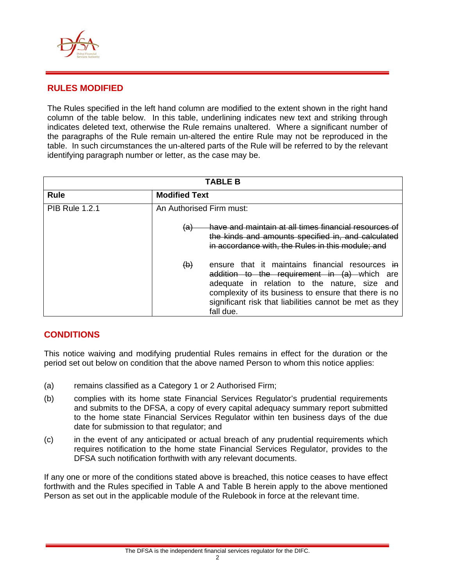

# **RULES MODIFIED**

The Rules specified in the left hand column are modified to the extent shown in the right hand column of the table below. In this table, underlining indicates new text and striking through indicates deleted text, otherwise the Rule remains unaltered. Where a significant number of the paragraphs of the Rule remain un-altered the entire Rule may not be reproduced in the table. In such circumstances the un-altered parts of the Rule will be referred to by the relevant identifying paragraph number or letter, as the case may be.

| <b>TABLE B</b>        |                                                                                                                                                                                                                                                                                              |  |
|-----------------------|----------------------------------------------------------------------------------------------------------------------------------------------------------------------------------------------------------------------------------------------------------------------------------------------|--|
| <b>Rule</b>           | <b>Modified Text</b>                                                                                                                                                                                                                                                                         |  |
| <b>PIB Rule 1.2.1</b> | An Authorised Firm must:                                                                                                                                                                                                                                                                     |  |
|                       | have and maintain at all times financial resources of<br><del>(a)</del><br>the kinds and amounts specified in, and calculated<br>in accordance with, the Rules in this module; and                                                                                                           |  |
|                       | $\Theta$<br>ensure that it maintains financial resources in<br>addition to the requirement in (a) which are<br>adequate in relation to the nature, size and<br>complexity of its business to ensure that there is no<br>significant risk that liabilities cannot be met as they<br>fall due. |  |

# **CONDITIONS**

This notice waiving and modifying prudential Rules remains in effect for the duration or the period set out below on condition that the above named Person to whom this notice applies:

- (a) remains classified as a Category 1 or 2 Authorised Firm;
- (b) complies with its home state Financial Services Regulator's prudential requirements and submits to the DFSA, a copy of every capital adequacy summary report submitted to the home state Financial Services Regulator within ten business days of the due date for submission to that regulator; and
- (c) in the event of any anticipated or actual breach of any prudential requirements which requires notification to the home state Financial Services Regulator, provides to the DFSA such notification forthwith with any relevant documents.

If any one or more of the conditions stated above is breached, this notice ceases to have effect forthwith and the Rules specified in Table A and Table B herein apply to the above mentioned Person as set out in the applicable module of the Rulebook in force at the relevant time.